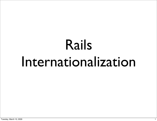# Rails Internationalization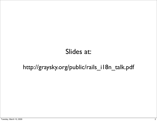#### Slides at:

#### http://graysky.org/public/rails\_i18n\_talk.pdf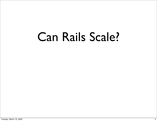#### Can Rails Scale?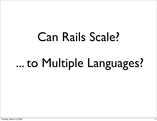# Can Rails Scale? ... to Multiple Languages?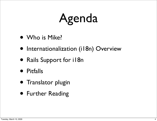# Agenda

- Who is Mike?
- Internationalization (i18n) Overview
- Rails Support for i18n
- Pitfalls
- Translator plugin
- Further Reading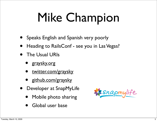# Mike Champion

- Speaks English and Spanish very poorly
- Heading to RailsConf see you in Las Vegas?
- The Usual URIs
	- [graysky.org](http://graysky.org)
	- [twitter.com/graysky](http://twitter.com/graysky)
	- [github.com/graysky](http://github.com/graysky)
- Developer at SnapMyLife
	- Mobile photo sharing
	- Global user base

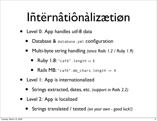#### Iñtërnâtiônàlizætiøn

- Level 0: App handles utf-8 data
	- Database & database.yml configuration
	- Multi-byte string handling *(since Rails 1.2 / Ruby 1.9)*
		- Ruby 1.8: "café". length => 5
		- Rails MB: "café".mb chars.length => 4
- Level 1: App is internationalized
	- Strings extracted, dates, etc. *(support in Rails 2.2)*
- Level 2: App is localized
	- Strings translated / tested *(on your own good luck!)*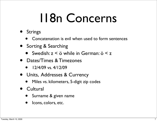## I18n Concerns

- Strings
	- Concatenation is evil when used to form sentences
- Sorting & Searching
	- Swedish: z < ö while in German: ö < z
- Dates/Times & Timezones
	- $12/4/09$  vs.  $4/12/09$
- Units, Addresses & Currency
	- Miles vs. kilometers, 5-digit zip codes
- Cultural
	- Surname & given name
	- Icons, colors, etc.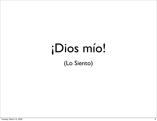### ¡Dios mío!

(Lo Siento)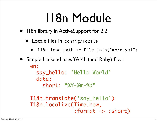### I18n Module

- II8n library in ActiveSupport for 2.2
	- Locale files in config/locale
		- I18n.load\_path += File.join("more.yml")
- Simple backend uses YAML (and Ruby) files: en: say\_hello: 'Hello World' date:

short: "%Y-%m-%d"

```
I18n.translate('say_hello')
I18n.localize(Time.now, 
                :format => :short)
```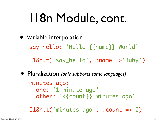### I18n Module, cont.

• Variable interpolation say\_hello: 'Hello {{name}} World'

I18n.t('say\_hello', :name =>'Ruby')

• Pluralization *(only supports some languages)* minutes\_ago: one: '1 minute ago' other: '{{count}} minutes ago'

I18n.t('minutes\_ago', :count => 2)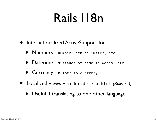#### Rails I18n

- Internationalized ActiveSupport for:
	- Numbers number\_with\_delimiter, etc.
	- Datetime distance of time in words, etc.
	- Currency number\_to\_currency
- Localized views index.de.erb.html *(Rails 2.3)*
	- Useful if translating to one other language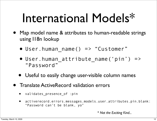### International Models\*

- Map model name & attributes to human-readable strings using I18n lookup
	- User.human name() => "Customer"
	- User.human attribute name('pin') => "Password"
	- Useful to easily change user-visible column names
- Translate ActiveRecord validation errors
	- validates presence of :pin
	- activerecord.errors.messages.models.user.attributes.pin.blank: "Password can't be blank, yo"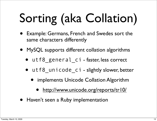# Sorting (aka Collation)

- Example: Germans, French and Swedes sort the same characters differently
- MySQL supports different collation algorithms
	- utf8 general\_ci faster, less correct
	- utf8 unicode ci slightly slower, better
		- **implements Unicode Collation Algorithm** 
			- [http://www.unicode.org/reports/tr10/](http://livepage.apple.com/)
- Haven't seen a Ruby implementation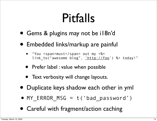#### Pitfalls

- Gems & plugins may not be i18n'd
- Embedded links/markup are painful
	- "You <span>must</span> out my <%= link\_to("awesome blog", ['http://foo'](http://foo)) %> today!"
	- Prefer label : value when possible
	- Text verbosity will change layouts.
- Duplicate keys shadow each other in yml
- $\bullet$  MY ERROR MSG = t('bad\_password')
- Careful with fragment/action caching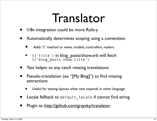#### Translator

- I18n integration could be more Rails-y
- Automatically determines scoping using a convention
	- Adds "t" method to views, models, controllers, mailers
	- t('title') in blog\_posts/show.erb will fetch t('blog\_posts.show.title')
- Test helper to any catch missing translations
- Pseudo-translation (ex. "[My Blog]") to find missing extractions
	- Useful for testing layouts when text expands in other language
- Locale fallback to default locale if cannot find string
- Plugin at:<http://github.com/graysky/translator>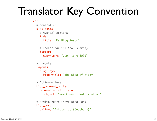#### Translator Key Convention

```
en:
   # controller
   blog_posts:
     # typical actions
     index:
       title: "My Blog Posts"
     # footer partial (non-shared)
     footer:
       copyright: "Copyright 2009"
   # Layouts
   layouts:
     blog_layout:
       blog_title: "The Blog of Ricky" 
   # ActionMailers
   blog_comment_mailer:
     comment_notification:
       subject: "New Comment Notification"
   # ActiveRecord (note singular)
   blog_posts:
     byline: "Written by {{author}}"
```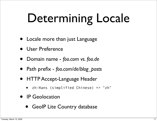# Determining Locale

- Locale more than just Language
- User Preference
- Domain name *foo.com vs. foo.de*
- Path prefix *foo.com/de/blog\_posts*
- HTTP Accept-Language Header
	- zh-Hans (simplified Chinese) => "zh"
- IP Geolocation
	- GeoIP Lite Country database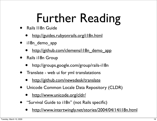# Further Reading

- Rails I18n Guide
	- http://guides.rubyonrails.org/il8n.html
- il8n\_demo\_app
	- [http://github.com/clemens/i18n\\_demo\\_app](http://github.com/clemens/i18n_demo_app)
- Rails i18n Group
	- http://groups.google.com/group/rails-i18n
- Translate web ui for yml translatations
	- <http://github.com/newsdesk/translate>
- Unicode Common Locale Data Repository (CLDR)
	- <http://www.unicode.org/cldr/>
- "Survival Guide to i18n" (not Rails specific)
	- [http://www.intertwingly.net/stories/2004/04/14/i18n.html](http://livepage.apple.com/)